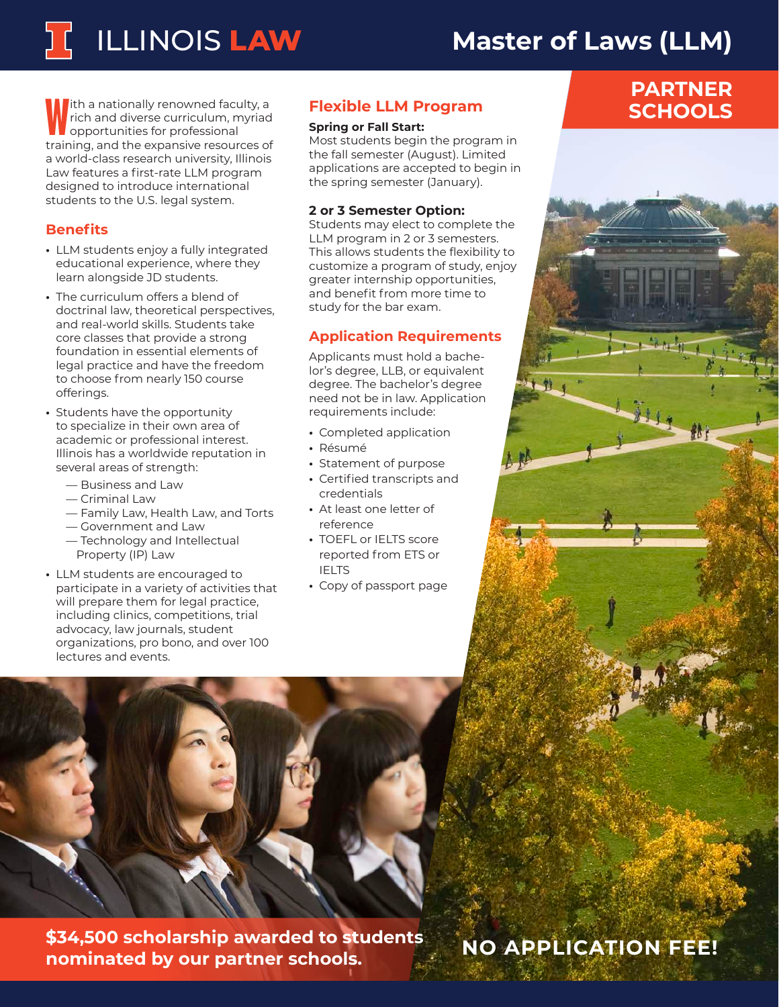# ILLINOIS **LAW**

# **Master of Laws (LLM)**

Ith a nationally renowned faculty, a<br>rich and diverse curriculum, myriad<br>training, and the expansive resources of ith a nationally renowned faculty, a rich and diverse curriculum, myriad opportunities for professional a world-class research university, Illinois Law features a first-rate LLM program designed to introduce international students to the U.S. legal system.

## **Benefits**

- **•** LLM students enjoy a fully integrated educational experience, where they learn alongside JD students.
- **•** The curriculum offers a blend of doctrinal law, theoretical perspectives, and real-world skills. Students take core classes that provide a strong foundation in essential elements of legal practice and have the freedom to choose from nearly 150 course offerings.
- **•** Students have the opportunity to specialize in their own area of academic or professional interest. Illinois has a worldwide reputation in several areas of strength:
	- Business and Law
	- Criminal Law
	- Family Law, Health Law, and Torts
	- Government and Law
	- Technology and Intellectual Property (IP) Law
- **•** LLM students are encouraged to participate in a variety of activities that will prepare them for legal practice, including clinics, competitions, trial advocacy, law journals, student organizations, pro bono, and over 100 lectures and events.

## **Flexible LLM Program**

#### **Spring or Fall Start:**

Most students begin the program in the fall semester (August). Limited applications are accepted to begin in the spring semester (January).

#### **2 or 3 Semester Option:**

Students may elect to complete the LLM program in 2 or 3 semesters. This allows students the flexibility to customize a program of study, enjoy greater internship opportunities, and benefit from more time to study for the bar exam.

### **Application Requirements**

Applicants must hold a bachelor's degree, LLB, or equivalent degree. The bachelor's degree need not be in law. Application requirements include:

- **•** Completed application
- **•** Résumé
- **•** Statement of purpose
- **•** Certified transcripts and credentials
- **•** At least one letter of reference
- **•** TOEFL or IELTS score reported from ETS or IELTS
- **•** Copy of passport page



**\$34,500 scholarship awarded to students nominated by our partner schools.**

## **NO APPLICATION FEE!**

## **PARTNER SCHOOLS**